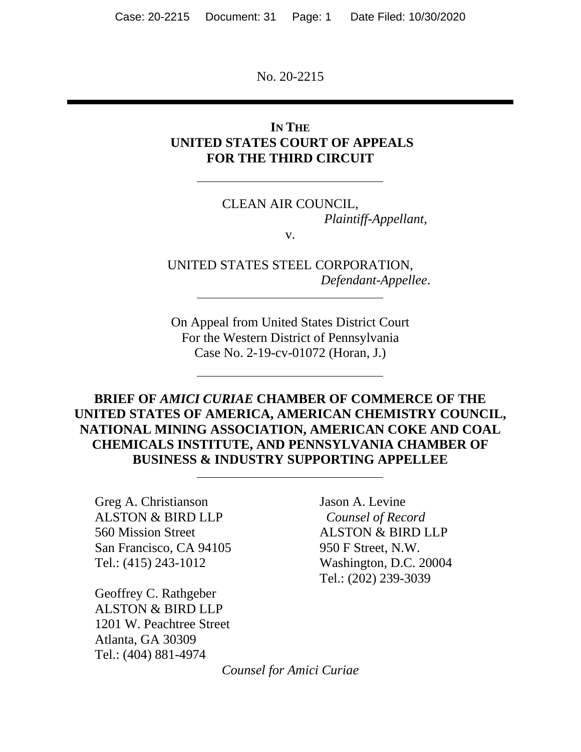No. 20-2215

### **IN THE UNITED STATES COURT OF APPEALS FOR THE THIRD CIRCUIT**

## CLEAN AIR COUNCIL, *Plaintiff-Appellant*,

v.

UNITED STATES STEEL CORPORATION, *Defendant-Appellee*.

On Appeal from United States District Court For the Western District of Pennsylvania Case No. 2-19-cv-01072 (Horan, J.)

## **BRIEF OF** *AMICI CURIAE* **CHAMBER OF COMMERCE OF THE UNITED STATES OF AMERICA, AMERICAN CHEMISTRY COUNCIL, NATIONAL MINING ASSOCIATION, AMERICAN COKE AND COAL CHEMICALS INSTITUTE, AND PENNSYLVANIA CHAMBER OF BUSINESS & INDUSTRY SUPPORTING APPELLEE**

Greg A. Christianson ALSTON & BIRD LLP 560 Mission Street San Francisco, CA 94105 Tel.: (415) 243-1012

Geoffrey C. Rathgeber ALSTON & BIRD LLP 1201 W. Peachtree Street Atlanta, GA 30309 Tel.: (404) 881-4974

Jason A. Levine *Counsel of Record*  ALSTON & BIRD LLP 950 F Street, N.W. Washington, D.C. 20004 Tel.: (202) 239-3039

*Counsel for Amici Curiae*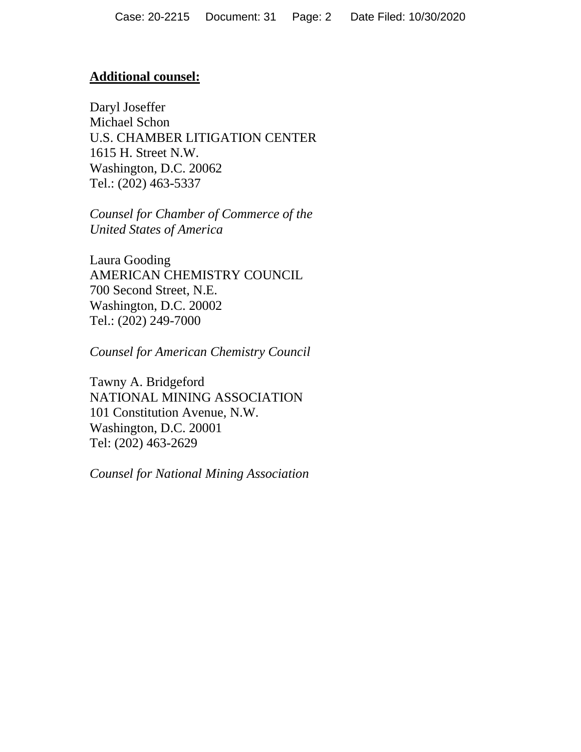#### **Additional counsel:**

Daryl Joseffer Michael Schon U.S. CHAMBER LITIGATION CENTER 1615 H. Street N.W. Washington, D.C. 20062 Tel.: (202) 463-5337

*Counsel for Chamber of Commerce of the United States of America* 

Laura Gooding AMERICAN CHEMISTRY COUNCIL 700 Second Street, N.E. Washington, D.C. 20002 Tel.: (202) 249-7000

*Counsel for American Chemistry Council* 

Tawny A. Bridgeford NATIONAL MINING ASSOCIATION 101 Constitution Avenue, N.W. Washington, D.C. 20001 Tel: (202) 463-2629

*Counsel for National Mining Association*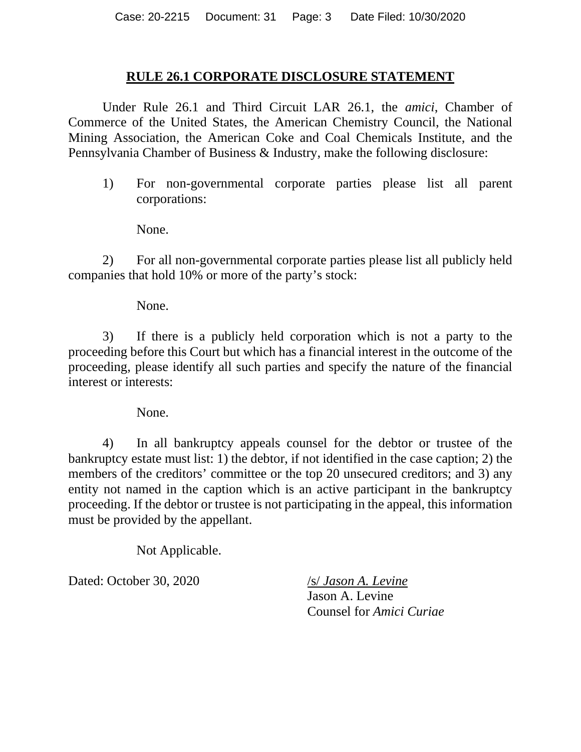#### **RULE 26.1 CORPORATE DISCLOSURE STATEMENT**

Under Rule 26.1 and Third Circuit LAR 26.1, the *amici*, Chamber of Commerce of the United States, the American Chemistry Council, the National Mining Association, the American Coke and Coal Chemicals Institute, and the Pennsylvania Chamber of Business & Industry, make the following disclosure:

1) For non-governmental corporate parties please list all parent corporations:

None.

2) For all non-governmental corporate parties please list all publicly held companies that hold 10% or more of the party's stock:

None.

3) If there is a publicly held corporation which is not a party to the proceeding before this Court but which has a financial interest in the outcome of the proceeding, please identify all such parties and specify the nature of the financial interest or interests:

None.

4) In all bankruptcy appeals counsel for the debtor or trustee of the bankruptcy estate must list: 1) the debtor, if not identified in the case caption; 2) the members of the creditors' committee or the top 20 unsecured creditors; and 3) any entity not named in the caption which is an active participant in the bankruptcy proceeding. If the debtor or trustee is not participating in the appeal, this information must be provided by the appellant.

Not Applicable.

Dated: October 30, 2020 /s/ *Jason A. Levine* 

Jason A. Levine Counsel for *Amici Curiae*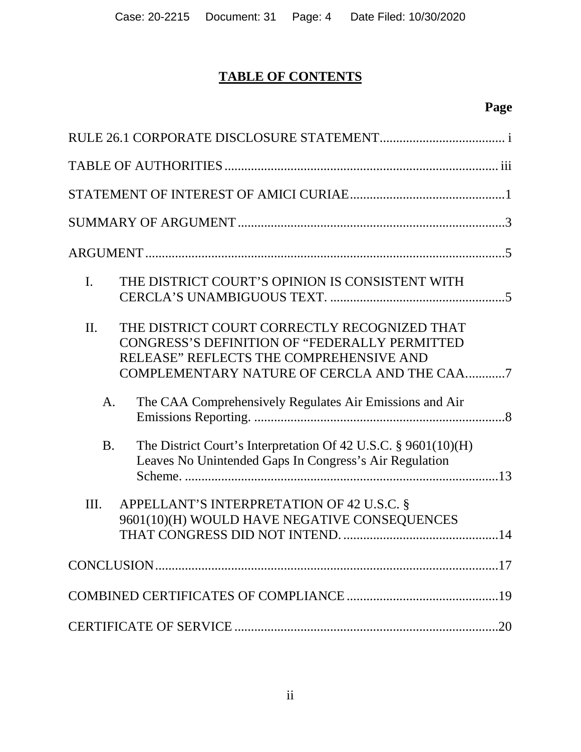# **TABLE OF CONTENTS**

# **Page**

| $\mathbf{I}$ . | THE DISTRICT COURT'S OPINION IS CONSISTENT WITH                                                                                                                                         |
|----------------|-----------------------------------------------------------------------------------------------------------------------------------------------------------------------------------------|
| II.            | THE DISTRICT COURT CORRECTLY RECOGNIZED THAT<br>CONGRESS'S DEFINITION OF "FEDERALLY PERMITTED<br>RELEASE" REFLECTS THE COMPREHENSIVE AND<br>COMPLEMENTARY NATURE OF CERCLA AND THE CAA7 |
| A.             | The CAA Comprehensively Regulates Air Emissions and Air                                                                                                                                 |
| <b>B.</b>      | The District Court's Interpretation Of 42 U.S.C. § 9601(10)(H)<br>Leaves No Unintended Gaps In Congress's Air Regulation                                                                |
| Ш.             | APPELLANT'S INTERPRETATION OF 42 U.S.C. §<br>9601(10)(H) WOULD HAVE NEGATIVE CONSEQUENCES                                                                                               |
|                |                                                                                                                                                                                         |
|                |                                                                                                                                                                                         |
|                |                                                                                                                                                                                         |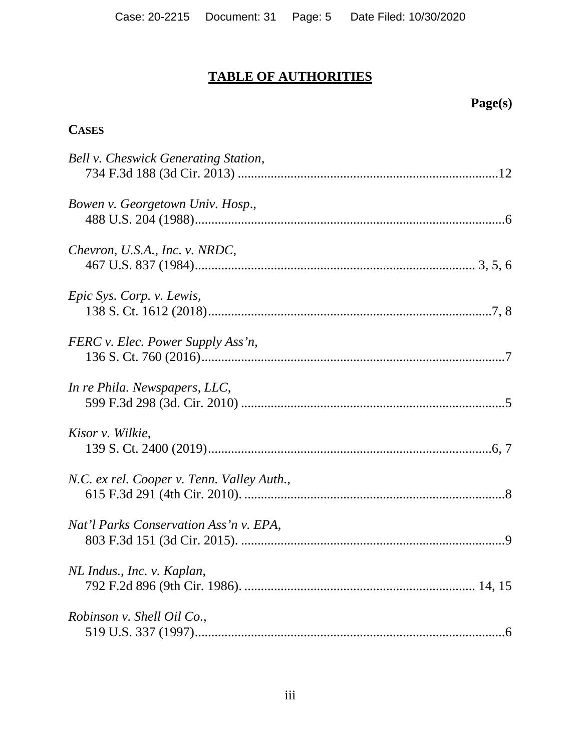# **TABLE OF AUTHORITIES**

# **Page(s)**

## **CASES**

| Bell v. Cheswick Generating Station,       |
|--------------------------------------------|
| Bowen v. Georgetown Univ. Hosp.,           |
| Chevron, U.S.A., Inc. v. NRDC,             |
| Epic Sys. Corp. v. Lewis,                  |
| FERC v. Elec. Power Supply Ass'n,          |
| In re Phila. Newspapers, LLC,              |
| Kisor v. Wilkie,                           |
| N.C. ex rel. Cooper v. Tenn. Valley Auth., |
| Nat'l Parks Conservation Ass'n v. EPA,     |
| NL Indus., Inc. v. Kaplan,                 |
| Robinson v. Shell Oil Co.,                 |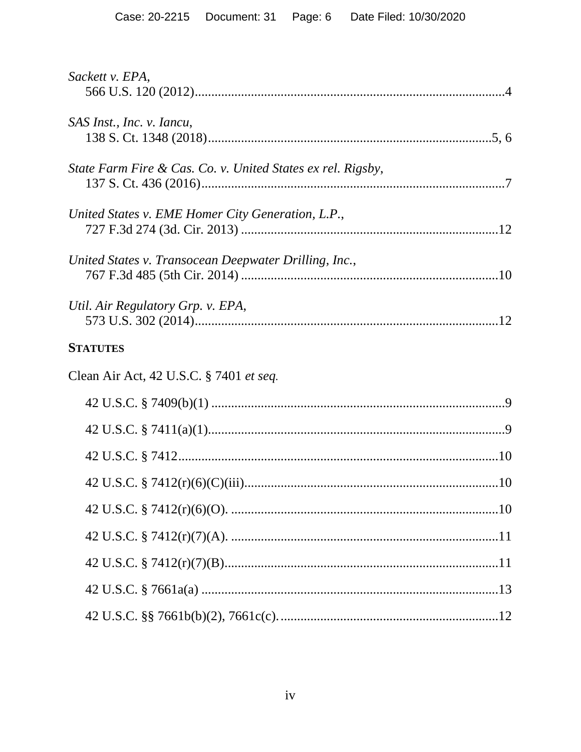| Sackett v. EPA,                                             |  |
|-------------------------------------------------------------|--|
| SAS Inst., Inc. v. Iancu,                                   |  |
| State Farm Fire & Cas. Co. v. United States ex rel. Rigsby, |  |
| United States v. EME Homer City Generation, L.P.,           |  |
| United States v. Transocean Deepwater Drilling, Inc.,       |  |
| Util. Air Regulatory Grp. v. EPA,                           |  |
| <b>STATUTES</b>                                             |  |
| Clean Air Act, 42 U.S.C. § 7401 et seq.                     |  |
|                                                             |  |
|                                                             |  |
|                                                             |  |
|                                                             |  |
|                                                             |  |
|                                                             |  |
|                                                             |  |
|                                                             |  |
|                                                             |  |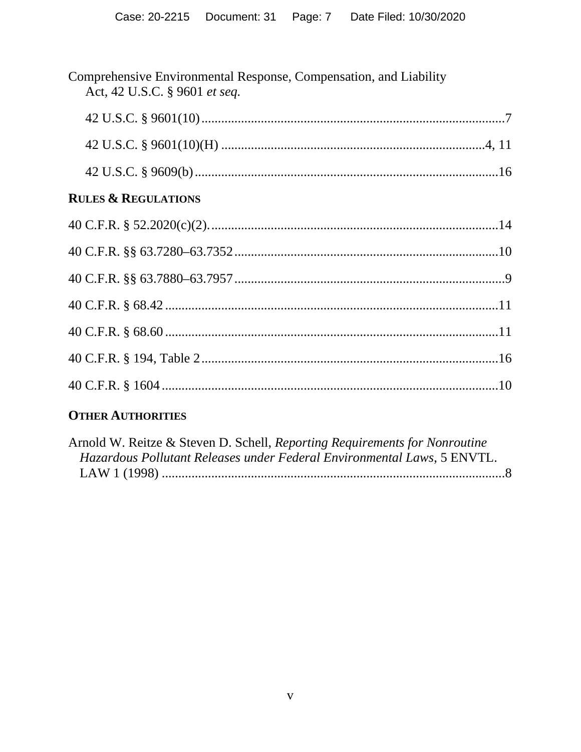| Comprehensive Environmental Response, Compensation, and Liability<br>Act, 42 U.S.C. § 9601 et seq. |  |
|----------------------------------------------------------------------------------------------------|--|
|                                                                                                    |  |
|                                                                                                    |  |
|                                                                                                    |  |
| <b>RULES &amp; REGULATIONS</b>                                                                     |  |
|                                                                                                    |  |
|                                                                                                    |  |
|                                                                                                    |  |
|                                                                                                    |  |
|                                                                                                    |  |
|                                                                                                    |  |
|                                                                                                    |  |

## **OTHER AUTHORITIES**

| Arnold W. Reitze & Steven D. Schell, Reporting Requirements for Nonroutine |  |
|----------------------------------------------------------------------------|--|
| Hazardous Pollutant Releases under Federal Environmental Laws, 5 ENVTL.    |  |
|                                                                            |  |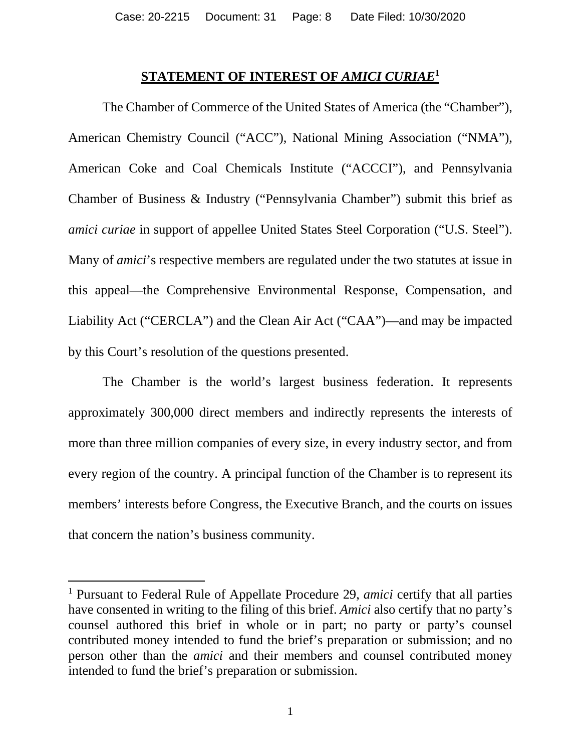#### **STATEMENT OF INTEREST OF** *AMICI CURIAE***<sup>1</sup>**

The Chamber of Commerce of the United States of America (the "Chamber"), American Chemistry Council ("ACC"), National Mining Association ("NMA"), American Coke and Coal Chemicals Institute ("ACCCI"), and Pennsylvania Chamber of Business & Industry ("Pennsylvania Chamber") submit this brief as *amici curiae* in support of appellee United States Steel Corporation ("U.S. Steel"). Many of *amici*'s respective members are regulated under the two statutes at issue in this appeal—the Comprehensive Environmental Response, Compensation, and Liability Act ("CERCLA") and the Clean Air Act ("CAA")—and may be impacted by this Court's resolution of the questions presented.

The Chamber is the world's largest business federation. It represents approximately 300,000 direct members and indirectly represents the interests of more than three million companies of every size, in every industry sector, and from every region of the country. A principal function of the Chamber is to represent its members' interests before Congress, the Executive Branch, and the courts on issues that concern the nation's business community.

<sup>&</sup>lt;sup>1</sup> Pursuant to Federal Rule of Appellate Procedure 29, *amici* certify that all parties have consented in writing to the filing of this brief. *Amici* also certify that no party's counsel authored this brief in whole or in part; no party or party's counsel contributed money intended to fund the brief's preparation or submission; and no person other than the *amici* and their members and counsel contributed money intended to fund the brief's preparation or submission.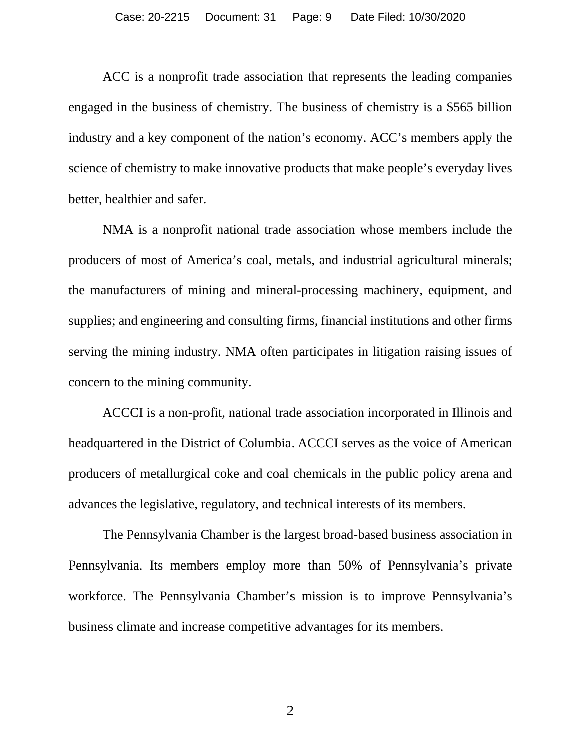ACC is a nonprofit trade association that represents the leading companies engaged in the business of chemistry. The business of chemistry is a \$565 billion industry and a key component of the nation's economy. ACC's members apply the science of chemistry to make innovative products that make people's everyday lives better, healthier and safer.

NMA is a nonprofit national trade association whose members include the producers of most of America's coal, metals, and industrial agricultural minerals; the manufacturers of mining and mineral-processing machinery, equipment, and supplies; and engineering and consulting firms, financial institutions and other firms serving the mining industry. NMA often participates in litigation raising issues of concern to the mining community.

ACCCI is a non-profit, national trade association incorporated in Illinois and headquartered in the District of Columbia. ACCCI serves as the voice of American producers of metallurgical coke and coal chemicals in the public policy arena and advances the legislative, regulatory, and technical interests of its members.

The Pennsylvania Chamber is the largest broad-based business association in Pennsylvania. Its members employ more than 50% of Pennsylvania's private workforce. The Pennsylvania Chamber's mission is to improve Pennsylvania's business climate and increase competitive advantages for its members.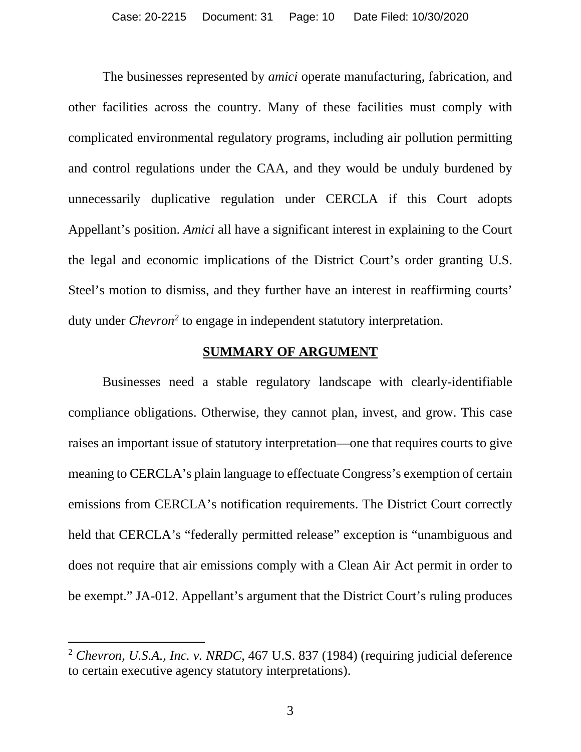The businesses represented by *amici* operate manufacturing, fabrication, and other facilities across the country. Many of these facilities must comply with complicated environmental regulatory programs, including air pollution permitting and control regulations under the CAA, and they would be unduly burdened by unnecessarily duplicative regulation under CERCLA if this Court adopts Appellant's position. *Amici* all have a significant interest in explaining to the Court the legal and economic implications of the District Court's order granting U.S. Steel's motion to dismiss, and they further have an interest in reaffirming courts' duty under *Chevron<sup>2</sup>* to engage in independent statutory interpretation.

#### **SUMMARY OF ARGUMENT**

Businesses need a stable regulatory landscape with clearly-identifiable compliance obligations. Otherwise, they cannot plan, invest, and grow. This case raises an important issue of statutory interpretation—one that requires courts to give meaning to CERCLA's plain language to effectuate Congress's exemption of certain emissions from CERCLA's notification requirements. The District Court correctly held that CERCLA's "federally permitted release" exception is "unambiguous and does not require that air emissions comply with a Clean Air Act permit in order to be exempt." JA-012. Appellant's argument that the District Court's ruling produces

<sup>2</sup> *Chevron, U.S.A., Inc. v. NRDC*, 467 U.S. 837 (1984) (requiring judicial deference to certain executive agency statutory interpretations).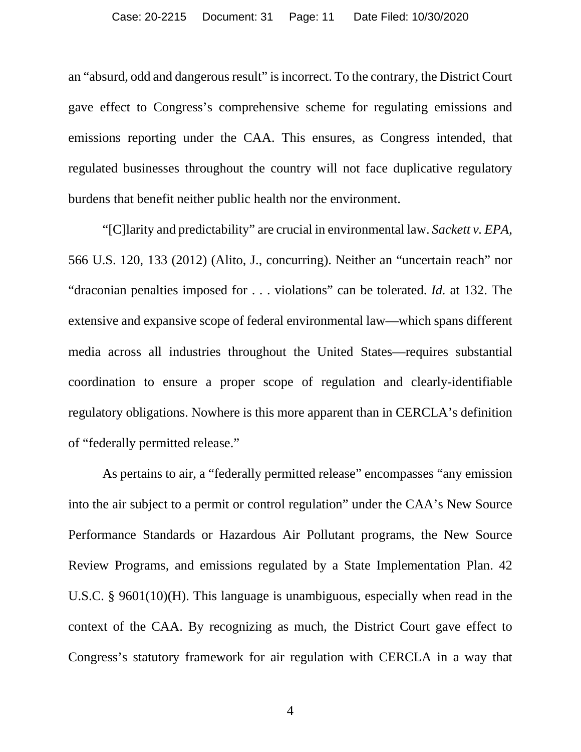an "absurd, odd and dangerous result" is incorrect. To the contrary, the District Court gave effect to Congress's comprehensive scheme for regulating emissions and emissions reporting under the CAA. This ensures, as Congress intended, that regulated businesses throughout the country will not face duplicative regulatory burdens that benefit neither public health nor the environment.

"[C]larity and predictability" are crucial in environmental law. *Sackett v. EPA*, 566 U.S. 120, 133 (2012) (Alito, J., concurring). Neither an "uncertain reach" nor "draconian penalties imposed for . . . violations" can be tolerated. *Id.* at 132. The extensive and expansive scope of federal environmental law—which spans different media across all industries throughout the United States—requires substantial coordination to ensure a proper scope of regulation and clearly-identifiable regulatory obligations. Nowhere is this more apparent than in CERCLA's definition of "federally permitted release."

As pertains to air, a "federally permitted release" encompasses "any emission into the air subject to a permit or control regulation" under the CAA's New Source Performance Standards or Hazardous Air Pollutant programs, the New Source Review Programs, and emissions regulated by a State Implementation Plan. 42 U.S.C. § 9601(10)(H). This language is unambiguous, especially when read in the context of the CAA. By recognizing as much, the District Court gave effect to Congress's statutory framework for air regulation with CERCLA in a way that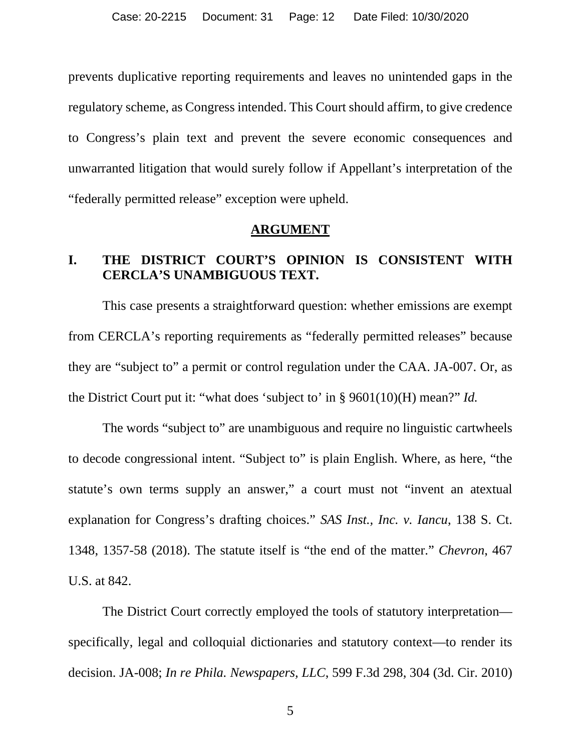prevents duplicative reporting requirements and leaves no unintended gaps in the regulatory scheme, as Congress intended. This Court should affirm, to give credence to Congress's plain text and prevent the severe economic consequences and unwarranted litigation that would surely follow if Appellant's interpretation of the "federally permitted release" exception were upheld.

#### **ARGUMENT**

### **I. THE DISTRICT COURT'S OPINION IS CONSISTENT WITH CERCLA'S UNAMBIGUOUS TEXT.**

This case presents a straightforward question: whether emissions are exempt from CERCLA's reporting requirements as "federally permitted releases" because they are "subject to" a permit or control regulation under the CAA. JA-007. Or, as the District Court put it: "what does 'subject to' in § 9601(10)(H) mean?" *Id.*

The words "subject to" are unambiguous and require no linguistic cartwheels to decode congressional intent. "Subject to" is plain English. Where, as here, "the statute's own terms supply an answer," a court must not "invent an atextual explanation for Congress's drafting choices." *SAS Inst., Inc. v. Iancu*, 138 S. Ct. 1348, 1357-58 (2018). The statute itself is "the end of the matter." *Chevron*, 467 U.S. at 842.

The District Court correctly employed the tools of statutory interpretation specifically, legal and colloquial dictionaries and statutory context—to render its decision. JA-008; *In re Phila. Newspapers, LLC*, 599 F.3d 298, 304 (3d. Cir. 2010)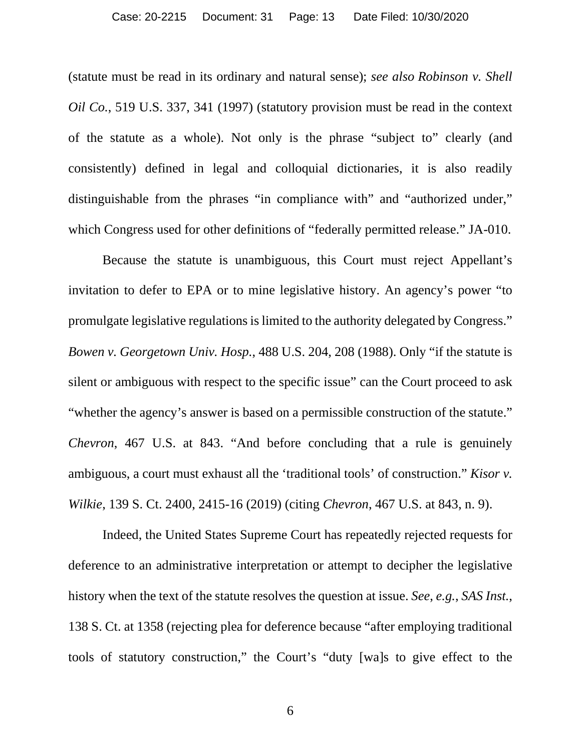(statute must be read in its ordinary and natural sense); *see also Robinson v. Shell Oil Co.*, 519 U.S. 337, 341 (1997) (statutory provision must be read in the context of the statute as a whole). Not only is the phrase "subject to" clearly (and consistently) defined in legal and colloquial dictionaries, it is also readily distinguishable from the phrases "in compliance with" and "authorized under," which Congress used for other definitions of "federally permitted release." JA-010.

Because the statute is unambiguous, this Court must reject Appellant's invitation to defer to EPA or to mine legislative history. An agency's power "to promulgate legislative regulations is limited to the authority delegated by Congress." *Bowen v. Georgetown Univ. Hosp.*, 488 U.S. 204, 208 (1988). Only "if the statute is silent or ambiguous with respect to the specific issue" can the Court proceed to ask "whether the agency's answer is based on a permissible construction of the statute." *Chevron*, 467 U.S. at 843. "And before concluding that a rule is genuinely ambiguous, a court must exhaust all the 'traditional tools' of construction." *Kisor v. Wilkie*, 139 S. Ct. 2400, 2415-16 (2019) (citing *Chevron*, 467 U.S. at 843, n. 9).

Indeed, the United States Supreme Court has repeatedly rejected requests for deference to an administrative interpretation or attempt to decipher the legislative history when the text of the statute resolves the question at issue. *See*, *e.g.*, *SAS Inst.*, 138 S. Ct. at 1358 (rejecting plea for deference because "after employing traditional tools of statutory construction," the Court's "duty [wa]s to give effect to the

6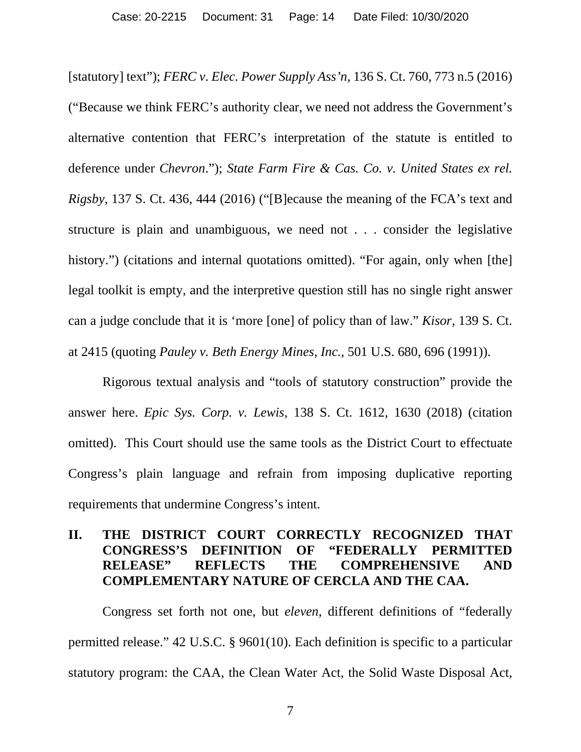[statutory] text"); *FERC v*. *Elec. Power Supply Ass'n*, 136 S. Ct. 760, 773 n.5 (2016) ("Because we think FERC's authority clear, we need not address the Government's alternative contention that FERC's interpretation of the statute is entitled to deference under *Chevron*."); *State Farm Fire & Cas. Co. v. United States ex rel. Rigsby*, 137 S. Ct. 436, 444 (2016) ("[B]ecause the meaning of the FCA's text and structure is plain and unambiguous, we need not . . . consider the legislative history.") (citations and internal quotations omitted). "For again, only when [the] legal toolkit is empty, and the interpretive question still has no single right answer can a judge conclude that it is 'more [one] of policy than of law." *Kisor,* 139 S. Ct. at 2415 (quoting *Pauley v. Beth Energy Mines, Inc.*, 501 U.S. 680, 696 (1991)).

Rigorous textual analysis and "tools of statutory construction" provide the answer here. *Epic Sys. Corp. v. Lewis*, 138 S. Ct. 1612, 1630 (2018) (citation omitted). This Court should use the same tools as the District Court to effectuate Congress's plain language and refrain from imposing duplicative reporting requirements that undermine Congress's intent.

## **II. THE DISTRICT COURT CORRECTLY RECOGNIZED THAT CONGRESS'S DEFINITION OF "FEDERALLY PERMITTED RELEASE" REFLECTS THE COMPREHENSIVE AND COMPLEMENTARY NATURE OF CERCLA AND THE CAA.**

Congress set forth not one, but *eleven*, different definitions of "federally permitted release." 42 U.S.C. § 9601(10). Each definition is specific to a particular statutory program: the CAA, the Clean Water Act, the Solid Waste Disposal Act,

7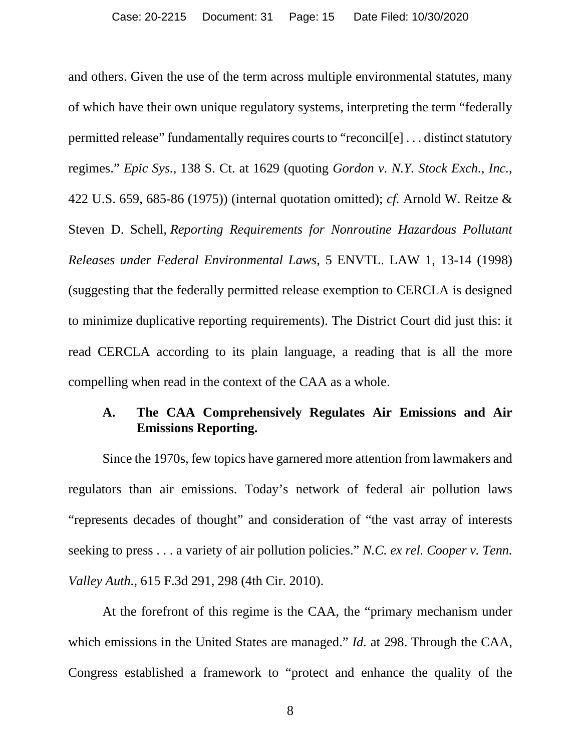and others. Given the use of the term across multiple environmental statutes, many of which have their own unique regulatory systems, interpreting the term "federally permitted release" fundamentally requires courts to "reconcil[e] . . . distinct statutory regimes." *Epic Sys.*, 138 S. Ct. at 1629 (quoting *Gordon v. N.Y. Stock Exch., Inc.*, 422 U.S. 659, 685-86 (1975)) (internal quotation omitted); *cf.* Arnold W. Reitze & Steven D. Schell, *Reporting Requirements for Nonroutine Hazardous Pollutant Releases under Federal Environmental Laws*, 5 ENVTL. LAW 1, 13-14 (1998) (suggesting that the federally permitted release exemption to CERCLA is designed to minimize duplicative reporting requirements). The District Court did just this: it read CERCLA according to its plain language, a reading that is all the more compelling when read in the context of the CAA as a whole.

### **A. The CAA Comprehensively Regulates Air Emissions and Air Emissions Reporting.**

Since the 1970s, few topics have garnered more attention from lawmakers and regulators than air emissions. Today's network of federal air pollution laws "represents decades of thought" and consideration of "the vast array of interests seeking to press . . . a variety of air pollution policies." *N.C. ex rel. Cooper v. Tenn. Valley Auth.*, 615 F.3d 291, 298 (4th Cir. 2010).

At the forefront of this regime is the CAA, the "primary mechanism under which emissions in the United States are managed." *Id.* at 298. Through the CAA, Congress established a framework to "protect and enhance the quality of the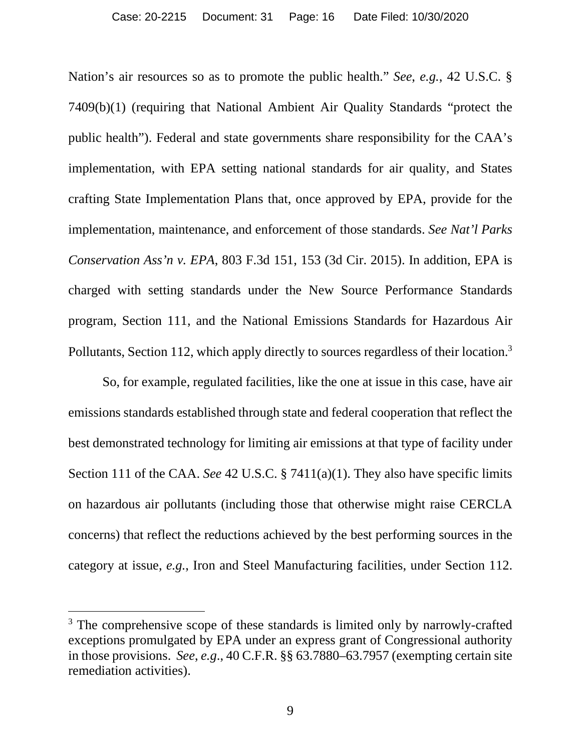Nation's air resources so as to promote the public health." *See*, *e.g.*, 42 U.S.C. § 7409(b)(1) (requiring that National Ambient Air Quality Standards "protect the public health"). Federal and state governments share responsibility for the CAA's implementation, with EPA setting national standards for air quality, and States crafting State Implementation Plans that, once approved by EPA, provide for the implementation, maintenance, and enforcement of those standards. *See Nat'l Parks Conservation Ass'n v. EPA*, 803 F.3d 151, 153 (3d Cir. 2015). In addition, EPA is charged with setting standards under the New Source Performance Standards program, Section 111, and the National Emissions Standards for Hazardous Air Pollutants, Section 112, which apply directly to sources regardless of their location.<sup>3</sup>

So, for example, regulated facilities, like the one at issue in this case, have air emissions standards established through state and federal cooperation that reflect the best demonstrated technology for limiting air emissions at that type of facility under Section 111 of the CAA. *See* 42 U.S.C. § 7411(a)(1). They also have specific limits on hazardous air pollutants (including those that otherwise might raise CERCLA concerns) that reflect the reductions achieved by the best performing sources in the category at issue, *e.g.*, Iron and Steel Manufacturing facilities, under Section 112.

<sup>&</sup>lt;sup>3</sup> The comprehensive scope of these standards is limited only by narrowly-crafted exceptions promulgated by EPA under an express grant of Congressional authority in those provisions. *See*, *e.g*., 40 C.F.R. §§ 63.7880–63.7957 (exempting certain site remediation activities).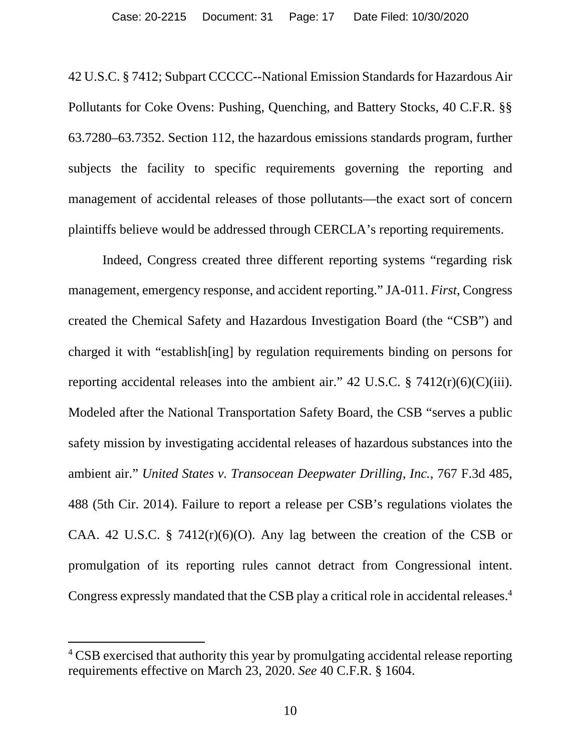42 U.S.C. § 7412; Subpart CCCCC--National Emission Standards for Hazardous Air Pollutants for Coke Ovens: Pushing, Quenching, and Battery Stocks, 40 C.F.R. §§ 63.7280–63.7352. Section 112, the hazardous emissions standards program, further subjects the facility to specific requirements governing the reporting and management of accidental releases of those pollutants—the exact sort of concern plaintiffs believe would be addressed through CERCLA's reporting requirements.

Indeed, Congress created three different reporting systems "regarding risk management, emergency response, and accident reporting." JA-011. *First*, Congress created the Chemical Safety and Hazardous Investigation Board (the "CSB") and charged it with "establish[ing] by regulation requirements binding on persons for reporting accidental releases into the ambient air." 42 U.S.C.  $\S$  7412(r)(6)(C)(iii). Modeled after the National Transportation Safety Board, the CSB "serves a public safety mission by investigating accidental releases of hazardous substances into the ambient air." *United States v. Transocean Deepwater Drilling, Inc.*, 767 F.3d 485, 488 (5th Cir. 2014). Failure to report a release per CSB's regulations violates the CAA. 42 U.S.C. § 7412 $(r)(6)(O)$ . Any lag between the creation of the CSB or promulgation of its reporting rules cannot detract from Congressional intent. Congress expressly mandated that the CSB play a critical role in accidental releases.<sup>4</sup>

<sup>&</sup>lt;sup>4</sup> CSB exercised that authority this year by promulgating accidental release reporting requirements effective on March 23, 2020. *See* 40 C.F.R. § 1604.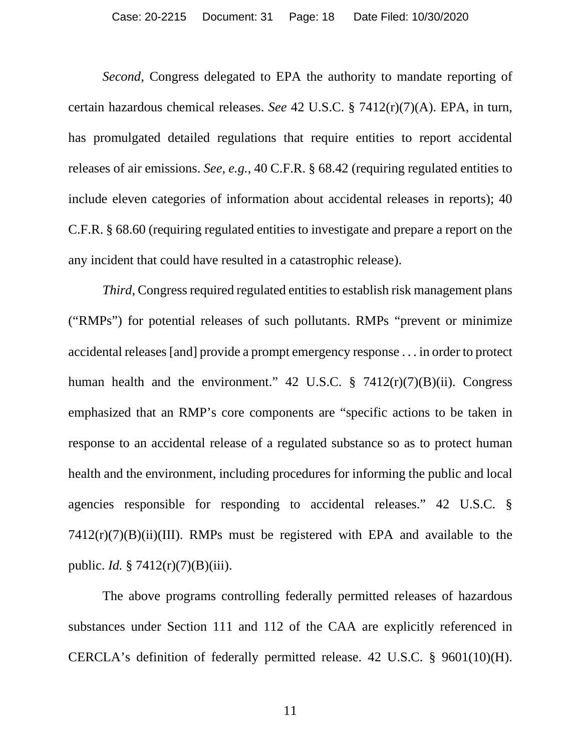*Second*, Congress delegated to EPA the authority to mandate reporting of certain hazardous chemical releases. *See* 42 U.S.C. § 7412(r)(7)(A). EPA, in turn, has promulgated detailed regulations that require entities to report accidental releases of air emissions. *See*, *e.g.*, 40 C.F.R. § 68.42 (requiring regulated entities to include eleven categories of information about accidental releases in reports); 40 C.F.R. § 68.60 (requiring regulated entities to investigate and prepare a report on the any incident that could have resulted in a catastrophic release).

*Third*, Congress required regulated entities to establish risk management plans ("RMPs") for potential releases of such pollutants. RMPs "prevent or minimize accidental releases [and] provide a prompt emergency response . . . in order to protect human health and the environment." 42 U.S.C.  $\S$  7412(r)(7)(B)(ii). Congress emphasized that an RMP's core components are "specific actions to be taken in response to an accidental release of a regulated substance so as to protect human health and the environment, including procedures for informing the public and local agencies responsible for responding to accidental releases." 42 U.S.C. §  $7412(r)(7)(B)(ii)(III)$ . RMPs must be registered with EPA and available to the public. *Id.* § 7412(r)(7)(B)(iii).

The above programs controlling federally permitted releases of hazardous substances under Section 111 and 112 of the CAA are explicitly referenced in CERCLA's definition of federally permitted release. 42 U.S.C. § 9601(10)(H).

11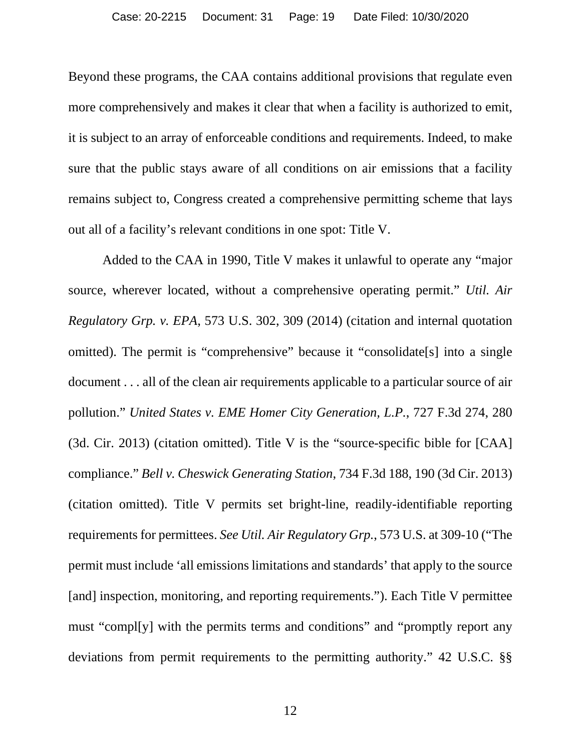Beyond these programs, the CAA contains additional provisions that regulate even more comprehensively and makes it clear that when a facility is authorized to emit, it is subject to an array of enforceable conditions and requirements. Indeed, to make sure that the public stays aware of all conditions on air emissions that a facility remains subject to, Congress created a comprehensive permitting scheme that lays out all of a facility's relevant conditions in one spot: Title V.

Added to the CAA in 1990, Title V makes it unlawful to operate any "major source, wherever located, without a comprehensive operating permit." *Util. Air Regulatory Grp. v. EPA*, 573 U.S. 302, 309 (2014) (citation and internal quotation omitted). The permit is "comprehensive" because it "consolidate[s] into a single document . . . all of the clean air requirements applicable to a particular source of air pollution." *United States v. EME Homer City Generation, L.P.*, 727 F.3d 274, 280 (3d. Cir. 2013) (citation omitted). Title V is the "source-specific bible for [CAA] compliance." *Bell v. Cheswick Generating Station*, 734 F.3d 188, 190 (3d Cir. 2013) (citation omitted). Title V permits set bright-line, readily-identifiable reporting requirements for permittees. *See Util. Air Regulatory Grp.*, 573 U.S. at 309-10 ("The permit must include 'all emissions limitations and standards' that apply to the source [and] inspection, monitoring, and reporting requirements."). Each Title V permittee must "compl[y] with the permits terms and conditions" and "promptly report any deviations from permit requirements to the permitting authority." 42 U.S.C. §§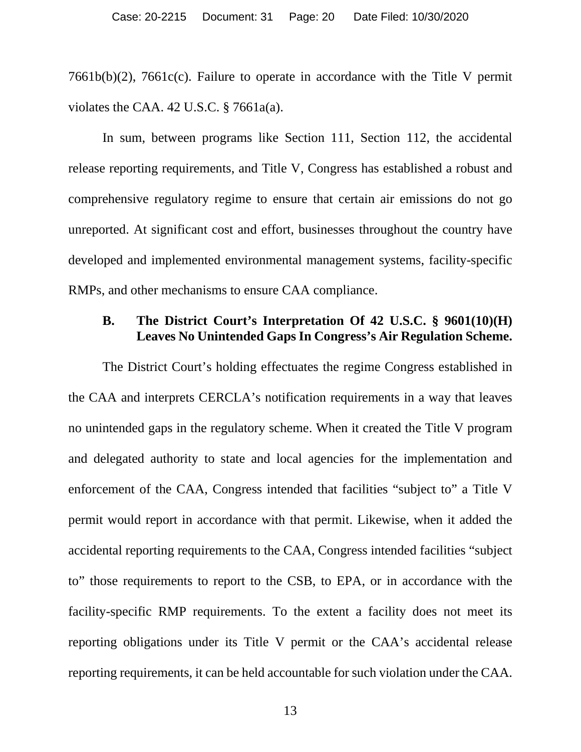7661b(b)(2), 7661c(c). Failure to operate in accordance with the Title V permit violates the CAA. 42 U.S.C. § 7661a(a).

In sum, between programs like Section 111, Section 112, the accidental release reporting requirements, and Title V, Congress has established a robust and comprehensive regulatory regime to ensure that certain air emissions do not go unreported. At significant cost and effort, businesses throughout the country have developed and implemented environmental management systems, facility-specific RMPs, and other mechanisms to ensure CAA compliance.

## **B. The District Court's Interpretation Of 42 U.S.C. § 9601(10)(H) Leaves No Unintended Gaps In Congress's Air Regulation Scheme.**

The District Court's holding effectuates the regime Congress established in the CAA and interprets CERCLA's notification requirements in a way that leaves no unintended gaps in the regulatory scheme. When it created the Title V program and delegated authority to state and local agencies for the implementation and enforcement of the CAA, Congress intended that facilities "subject to" a Title V permit would report in accordance with that permit. Likewise, when it added the accidental reporting requirements to the CAA, Congress intended facilities "subject to" those requirements to report to the CSB, to EPA, or in accordance with the facility-specific RMP requirements. To the extent a facility does not meet its reporting obligations under its Title V permit or the CAA's accidental release reporting requirements, it can be held accountable for such violation under the CAA.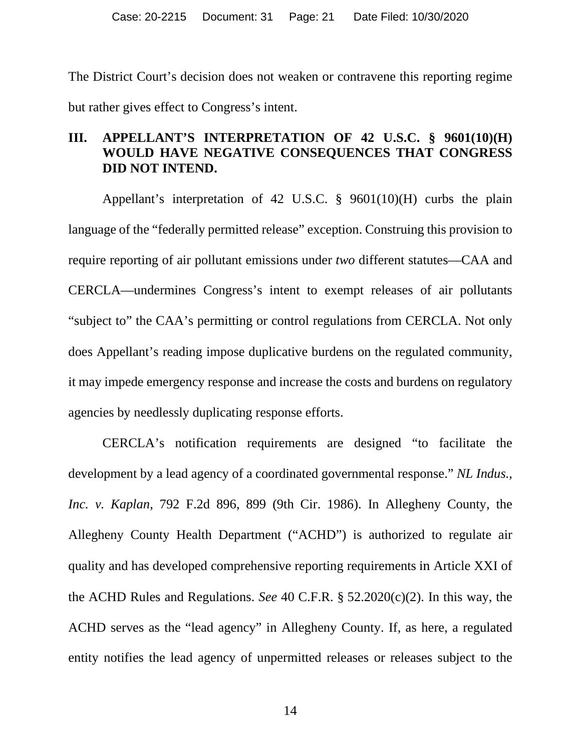The District Court's decision does not weaken or contravene this reporting regime but rather gives effect to Congress's intent.

## **III. APPELLANT'S INTERPRETATION OF 42 U.S.C. § 9601(10)(H) WOULD HAVE NEGATIVE CONSEQUENCES THAT CONGRESS DID NOT INTEND.**

Appellant's interpretation of 42 U.S.C. § 9601(10)(H) curbs the plain language of the "federally permitted release" exception. Construing this provision to require reporting of air pollutant emissions under *two* different statutes—CAA and CERCLA—undermines Congress's intent to exempt releases of air pollutants "subject to" the CAA's permitting or control regulations from CERCLA. Not only does Appellant's reading impose duplicative burdens on the regulated community, it may impede emergency response and increase the costs and burdens on regulatory agencies by needlessly duplicating response efforts.

CERCLA's notification requirements are designed "to facilitate the development by a lead agency of a coordinated governmental response." *NL Indus., Inc. v. Kaplan*, 792 F.2d 896, 899 (9th Cir. 1986). In Allegheny County, the Allegheny County Health Department ("ACHD") is authorized to regulate air quality and has developed comprehensive reporting requirements in Article XXI of the ACHD Rules and Regulations. *See* 40 C.F.R. § 52.2020(c)(2). In this way, the ACHD serves as the "lead agency" in Allegheny County. If, as here, a regulated entity notifies the lead agency of unpermitted releases or releases subject to the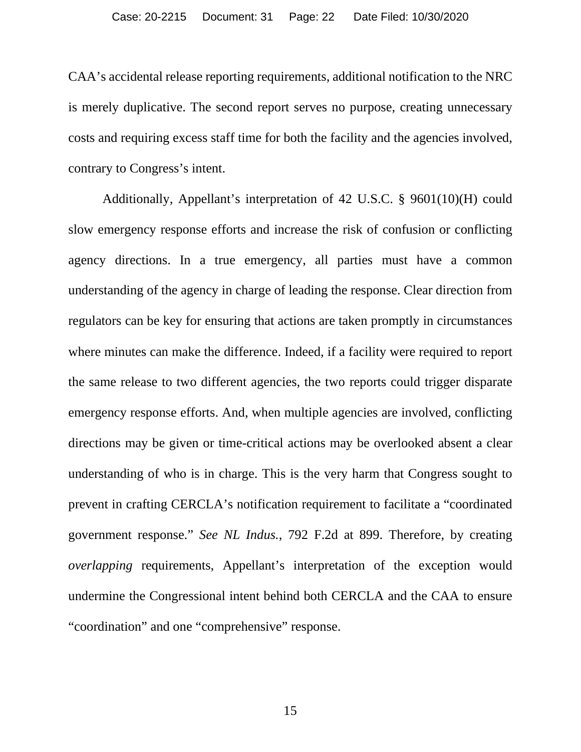CAA's accidental release reporting requirements, additional notification to the NRC is merely duplicative. The second report serves no purpose, creating unnecessary costs and requiring excess staff time for both the facility and the agencies involved, contrary to Congress's intent.

Additionally, Appellant's interpretation of 42 U.S.C. § 9601(10)(H) could slow emergency response efforts and increase the risk of confusion or conflicting agency directions. In a true emergency, all parties must have a common understanding of the agency in charge of leading the response. Clear direction from regulators can be key for ensuring that actions are taken promptly in circumstances where minutes can make the difference. Indeed, if a facility were required to report the same release to two different agencies, the two reports could trigger disparate emergency response efforts. And, when multiple agencies are involved, conflicting directions may be given or time-critical actions may be overlooked absent a clear understanding of who is in charge. This is the very harm that Congress sought to prevent in crafting CERCLA's notification requirement to facilitate a "coordinated government response." *See NL Indus.*, 792 F.2d at 899. Therefore, by creating *overlapping* requirements, Appellant's interpretation of the exception would undermine the Congressional intent behind both CERCLA and the CAA to ensure "coordination" and one "comprehensive" response.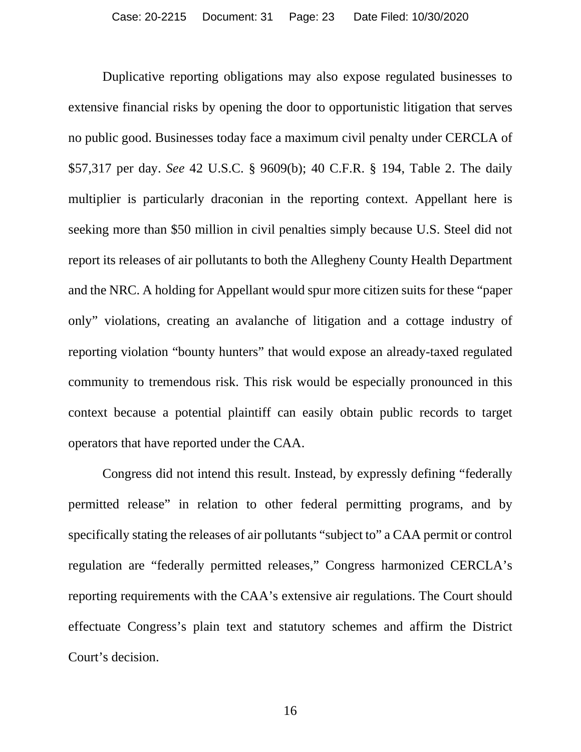Duplicative reporting obligations may also expose regulated businesses to extensive financial risks by opening the door to opportunistic litigation that serves no public good. Businesses today face a maximum civil penalty under CERCLA of \$57,317 per day. *See* 42 U.S.C. § 9609(b); 40 C.F.R. § 194, Table 2. The daily multiplier is particularly draconian in the reporting context. Appellant here is seeking more than \$50 million in civil penalties simply because U.S. Steel did not report its releases of air pollutants to both the Allegheny County Health Department and the NRC. A holding for Appellant would spur more citizen suits for these "paper only" violations, creating an avalanche of litigation and a cottage industry of reporting violation "bounty hunters" that would expose an already-taxed regulated community to tremendous risk. This risk would be especially pronounced in this context because a potential plaintiff can easily obtain public records to target operators that have reported under the CAA.

Congress did not intend this result. Instead, by expressly defining "federally permitted release" in relation to other federal permitting programs, and by specifically stating the releases of air pollutants "subject to" a CAA permit or control regulation are "federally permitted releases," Congress harmonized CERCLA's reporting requirements with the CAA's extensive air regulations. The Court should effectuate Congress's plain text and statutory schemes and affirm the District Court's decision.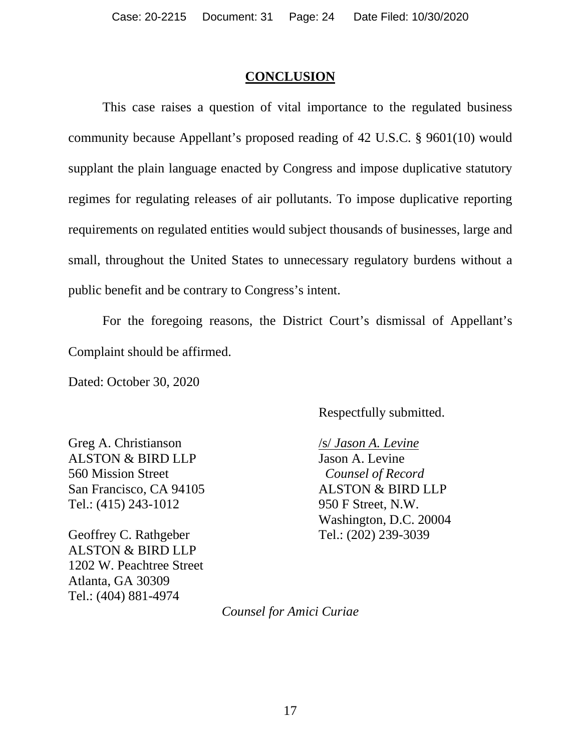#### **CONCLUSION**

This case raises a question of vital importance to the regulated business community because Appellant's proposed reading of 42 U.S.C. § 9601(10) would supplant the plain language enacted by Congress and impose duplicative statutory regimes for regulating releases of air pollutants. To impose duplicative reporting requirements on regulated entities would subject thousands of businesses, large and small, throughout the United States to unnecessary regulatory burdens without a public benefit and be contrary to Congress's intent.

For the foregoing reasons, the District Court's dismissal of Appellant's Complaint should be affirmed.

Dated: October 30, 2020

Respectfully submitted.

Greg A. Christianson ALSTON & BIRD LLP 560 Mission Street San Francisco, CA 94105 Tel.: (415) 243-1012

Geoffrey C. Rathgeber ALSTON & BIRD LLP 1202 W. Peachtree Street Atlanta, GA 30309 Tel.: (404) 881-4974

/s/ *Jason A. Levine* Jason A. Levine *Counsel of Record*  ALSTON & BIRD LLP 950 F Street, N.W. Washington, D.C. 20004 Tel.: (202) 239-3039

*Counsel for Amici Curiae*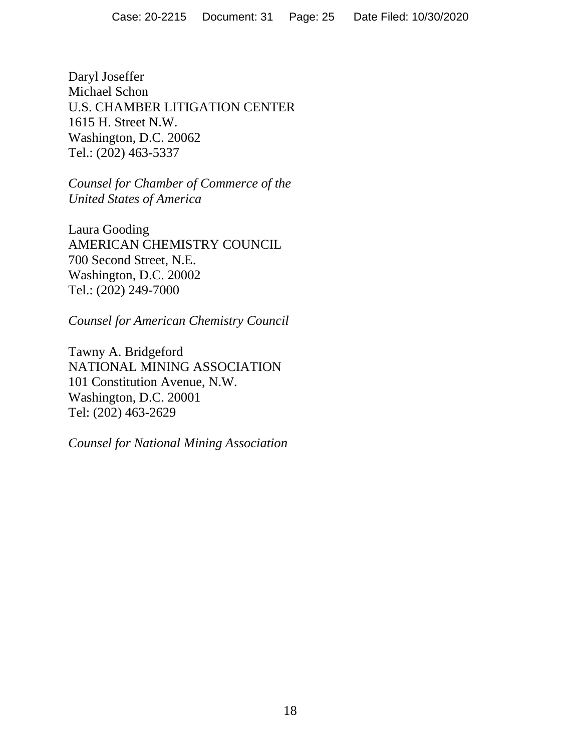Daryl Joseffer Michael Schon U.S. CHAMBER LITIGATION CENTER 1615 H. Street N.W. Washington, D.C. 20062 Tel.: (202) 463-5337

*Counsel for Chamber of Commerce of the United States of America* 

Laura Gooding AMERICAN CHEMISTRY COUNCIL 700 Second Street, N.E. Washington, D.C. 20002 Tel.: (202) 249-7000

*Counsel for American Chemistry Council* 

Tawny A. Bridgeford NATIONAL MINING ASSOCIATION 101 Constitution Avenue, N.W. Washington, D.C. 20001 Tel: (202) 463-2629

*Counsel for National Mining Association*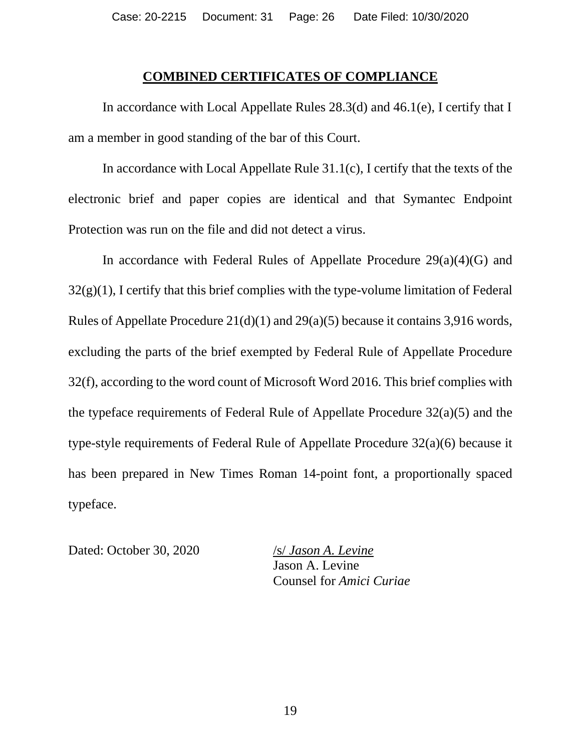#### **COMBINED CERTIFICATES OF COMPLIANCE**

In accordance with Local Appellate Rules 28.3(d) and 46.1(e), I certify that I am a member in good standing of the bar of this Court.

In accordance with Local Appellate Rule 31.1(c), I certify that the texts of the electronic brief and paper copies are identical and that Symantec Endpoint Protection was run on the file and did not detect a virus.

In accordance with Federal Rules of Appellate Procedure  $29(a)(4)(G)$  and  $32(g)(1)$ , I certify that this brief complies with the type-volume limitation of Federal Rules of Appellate Procedure 21(d)(1) and 29(a)(5) because it contains 3,916 words, excluding the parts of the brief exempted by Federal Rule of Appellate Procedure 32(f), according to the word count of Microsoft Word 2016. This brief complies with the typeface requirements of Federal Rule of Appellate Procedure 32(a)(5) and the type-style requirements of Federal Rule of Appellate Procedure 32(a)(6) because it has been prepared in New Times Roman 14-point font, a proportionally spaced typeface.

Dated: October 30, 2020 /s/ *Jason A. Levine*

Jason A. Levine Counsel for *Amici Curiae*